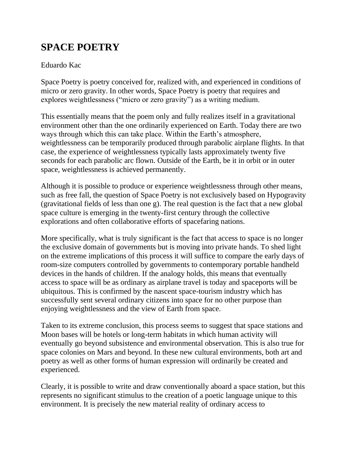## **SPACE POETRY**

## Eduardo Kac

Space Poetry is poetry conceived for, realized with, and experienced in conditions of micro or zero gravity. In other words, Space Poetry is poetry that requires and explores weightlessness ("micro or zero gravity") as a writing medium.

This essentially means that the poem only and fully realizes itself in a gravitational environment other than the one ordinarily experienced on Earth. Today there are two ways through which this can take place. Within the Earth's atmosphere, weightlessness can be temporarily produced through parabolic airplane flights. In that case, the experience of weightlessness typically lasts approximately twenty five seconds for each parabolic arc flown. Outside of the Earth, be it in orbit or in outer space, weightlessness is achieved permanently.

Although it is possible to produce or experience weightlessness through other means, such as free fall, the question of Space Poetry is not exclusively based on Hypogravity (gravitational fields of less than one g). The real question is the fact that a new global space culture is emerging in the twenty-first century through the collective explorations and often collaborative efforts of spacefaring nations.

More specifically, what is truly significant is the fact that access to space is no longer the exclusive domain of governments but is moving into private hands. To shed light on the extreme implications of this process it will suffice to compare the early days of room-size computers controlled by governments to contemporary portable handheld devices in the hands of children. If the analogy holds, this means that eventually access to space will be as ordinary as airplane travel is today and spaceports will be ubiquitous. This is confirmed by the nascent space-tourism industry which has successfully sent several ordinary citizens into space for no other purpose than enjoying weightlessness and the view of Earth from space.

Taken to its extreme conclusion, this process seems to suggest that space stations and Moon bases will be hotels or long-term habitats in which human activity will eventually go beyond subsistence and environmental observation. This is also true for space colonies on Mars and beyond. In these new cultural environments, both art and poetry as well as other forms of human expression will ordinarily be created and experienced.

Clearly, it is possible to write and draw conventionally aboard a space station, but this represents no significant stimulus to the creation of a poetic language unique to this environment. It is precisely the new material reality of ordinary access to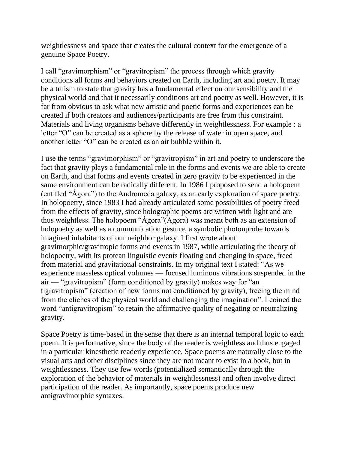weightlessness and space that creates the cultural context for the emergence of a genuine Space Poetry.

I call "gravimorphism" or "gravitropism" the process through which gravity conditions all forms and behaviors created on Earth, including art and poetry. It may be a truism to state that gravity has a fundamental effect on our sensibility and the physical world and that it necessarily conditions art and poetry as well. However, it is far from obvious to ask what new artistic and poetic forms and experiences can be created if both creators and audiences/participants are free from this constraint. Materials and living organisms behave differently in weightlessness. For example : a letter "O" can be created as a sphere by the release of water in open space, and another letter "O" can be created as an air bubble within it.

I use the terms "gravimorphism" or "gravitropism" in art and poetry to underscore the fact that gravity plays a fundamental role in the forms and events we are able to create on Earth, and that forms and events created in zero gravity to be experienced in the same environment can be radically different. In 1986 I proposed to send a holopoem (entitled "Ágora") to the Andromeda galaxy, as an early exploration of space poetry. In holopoetry, since 1983 I had already articulated some possibilities of poetry freed from the effects of gravity, since holographic poems are written with light and are thus weightless. The holopoem "Ágora"(Agora) was meant both as an extension of holopoetry as well as a communication gesture, a symbolic photonprobe towards imagined inhabitants of our neighbor galaxy. I first wrote about gravimorphic/gravitropic forms and events in 1987, while articulating the theory of holopoetry, with its protean linguistic events floating and changing in space, freed from material and gravitational constraints. In my original text I stated: "As we experience massless optical volumes — focused luminous vibrations suspended in the air — "gravitropism" (form conditioned by gravity) makes way for "an tigravitropism" (creation of new forms not conditioned by gravity), freeing the mind from the cliches of the physical world and challenging the imagination". I coined the word "antigravitropism" to retain the affirmative quality of negating or neutralizing gravity.

Space Poetry is time-based in the sense that there is an internal temporal logic to each poem. It is performative, since the body of the reader is weightless and thus engaged in a particular kinesthetic readerly experience. Space poems are naturally close to the visual arts and other disciplines since they are not meant to exist in a book, but in weightlessness. They use few words (potentialized semantically through the exploration of the behavior of materials in weightlessness) and often involve direct participation of the reader. As importantly, space poems produce new antigravimorphic syntaxes.